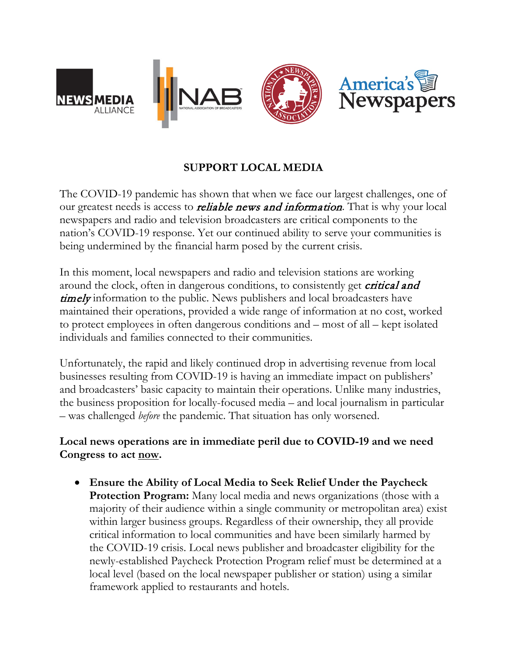

## **SUPPORT LOCAL MEDIA**

The COVID-19 pandemic has shown that when we face our largest challenges, one of our greatest needs is access to *reliable news and information*. That is why your local newspapers and radio and television broadcasters are critical components to the nation's COVID-19 response. Yet our continued ability to serve your communities is being undermined by the financial harm posed by the current crisis.

In this moment, local newspapers and radio and television stations are working around the clock, often in dangerous conditions, to consistently get *critical and* **timely** information to the public. News publishers and local broadcasters have maintained their operations, provided a wide range of information at no cost, worked to protect employees in often dangerous conditions and – most of all – kept isolated individuals and families connected to their communities.

Unfortunately, the rapid and likely continued drop in advertising revenue from local businesses resulting from COVID-19 is having an immediate impact on publishers' and broadcasters' basic capacity to maintain their operations. Unlike many industries, the business proposition for locally-focused media – and local journalism in particular – was challenged *before* the pandemic. That situation has only worsened.

**Local news operations are in immediate peril due to COVID-19 and we need Congress to act now.** 

• **Ensure the Ability of Local Media to Seek Relief Under the Paycheck Protection Program:** Many local media and news organizations (those with a majority of their audience within a single community or metropolitan area) exist within larger business groups. Regardless of their ownership, they all provide critical information to local communities and have been similarly harmed by the COVID-19 crisis. Local news publisher and broadcaster eligibility for the newly-established Paycheck Protection Program relief must be determined at a local level (based on the local newspaper publisher or station) using a similar framework applied to restaurants and hotels.